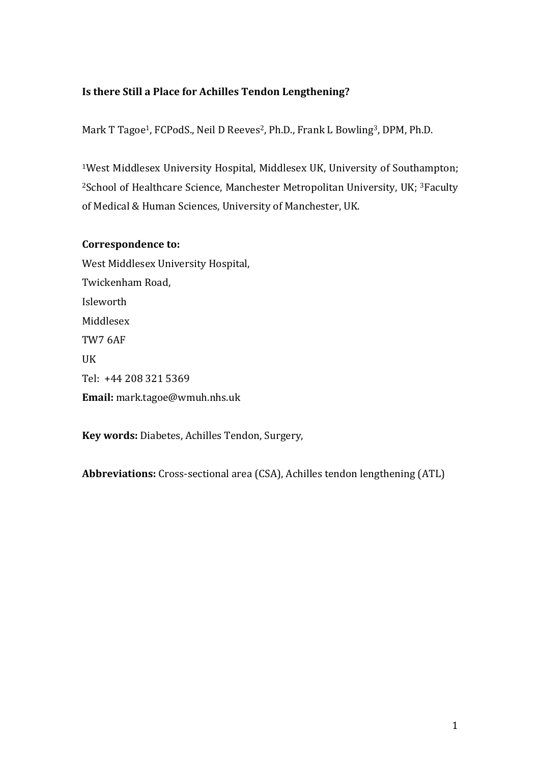## **Is there Still a Place for Achilles Tendon Lengthening?**

Mark T Tagoe<sup>1</sup>, FCPodS., Neil D Reeves<sup>2</sup>, Ph.D., Frank L Bowling<sup>3</sup>, DPM, Ph.D.

<sup>1</sup>West Middlesex University Hospital, Middlesex UK, University of Southampton; <sup>2</sup>School of Healthcare Science, Manchester Metropolitan University, UK; <sup>3</sup>Faculty of Medical & Human Sciences, University of Manchester, UK.

## **Correspondence to:**

West Middlesex University Hospital, Twickenham Road, Isleworth Middlesex TW7 6AF **IIK** Tel: +44 208 321 5369 **Email:** mark.tagoe@wmuh.nhs.uk

Key words: Diabetes, Achilles Tendon, Surgery,

**Abbreviations:** Cross-sectional area (CSA), Achilles tendon lengthening (ATL)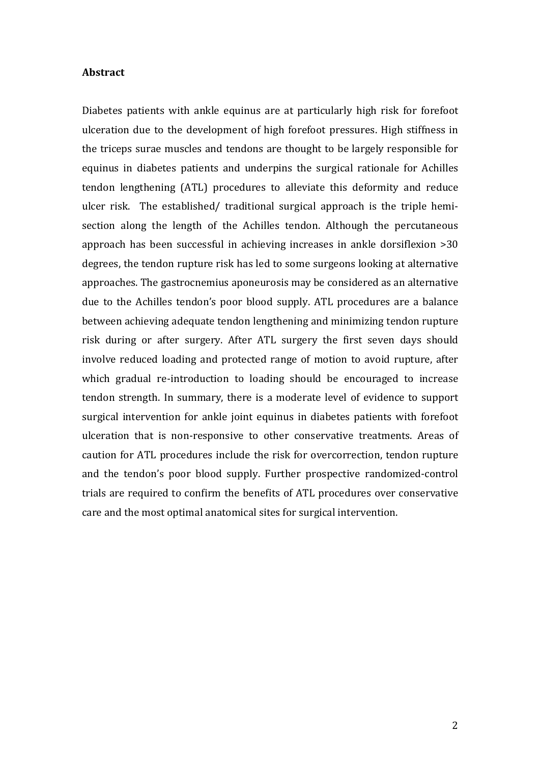#### **Abstract**

Diabetes patients with ankle equinus are at particularly high risk for forefoot ulceration due to the development of high forefoot pressures. High stiffness in the triceps surae muscles and tendons are thought to be largely responsible for equinus in diabetes patients and underpins the surgical rationale for Achilles tendon lengthening (ATL) procedures to alleviate this deformity and reduce ulcer risk. The established/ traditional surgical approach is the triple hemisection along the length of the Achilles tendon. Although the percutaneous approach has been successful in achieving increases in ankle dorsiflexion >30 degrees, the tendon rupture risk has led to some surgeons looking at alternative approaches. The gastrocnemius aponeurosis may be considered as an alternative due to the Achilles tendon's poor blood supply. ATL procedures are a balance between achieving adequate tendon lengthening and minimizing tendon rupture risk during or after surgery. After ATL surgery the first seven days should involve reduced loading and protected range of motion to avoid rupture, after which gradual re-introduction to loading should be encouraged to increase tendon strength. In summary, there is a moderate level of evidence to support surgical intervention for ankle joint equinus in diabetes patients with forefoot ulceration that is non-responsive to other conservative treatments. Areas of caution for ATL procedures include the risk for overcorrection, tendon rupture and the tendon's poor blood supply. Further prospective randomized-control trials are required to confirm the benefits of ATL procedures over conservative care and the most optimal anatomical sites for surgical intervention.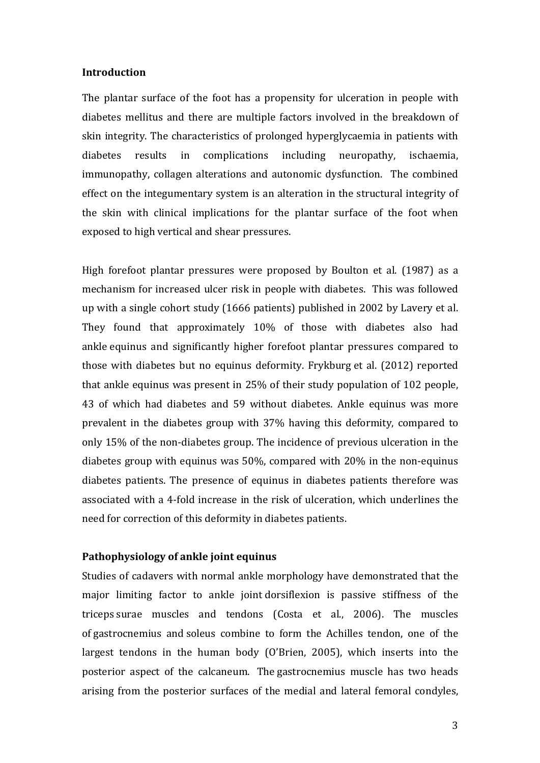### **Introduction**

The plantar surface of the foot has a propensity for ulceration in people with diabetes mellitus and there are multiple factors involved in the breakdown of skin integrity. The characteristics of prolonged hyperglycaemia in patients with diabetes results in complications including neuropathy, ischaemia. immunopathy, collagen alterations and autonomic dysfunction. The combined effect on the integumentary system is an alteration in the structural integrity of the skin with clinical implications for the plantar surface of the foot when exposed to high vertical and shear pressures.

High forefoot plantar pressures were proposed by Boulton et al. (1987) as a mechanism for increased ulcer risk in people with diabetes. This was followed up with a single cohort study (1666 patients) published in 2002 by Lavery et al. They found that approximately 10% of those with diabetes also had ankle equinus and significantly higher forefoot plantar pressures compared to those with diabetes but no equinus deformity. Frykburg et al. (2012) reported that ankle equinus was present in  $25\%$  of their study population of 102 people, 43 of which had diabetes and 59 without diabetes. Ankle equinus was more prevalent in the diabetes group with 37% having this deformity, compared to only 15% of the non-diabetes group. The incidence of previous ulceration in the diabetes group with equinus was  $50\%$ , compared with  $20\%$  in the non-equinus diabetes patients. The presence of equinus in diabetes patients therefore was associated with a 4-fold increase in the risk of ulceration, which underlines the need for correction of this deformity in diabetes patients.

#### **Pathophysiology** of ankle joint equinus

Studies of cadavers with normal ankle morphology have demonstrated that the major limiting factor to ankle joint dorsiflexion is passive stiffness of the triceps surae muscles and tendons (Costa et al., 2006). The muscles of gastrocnemius and soleus combine to form the Achilles tendon, one of the largest tendons in the human body (O'Brien, 2005), which inserts into the posterior aspect of the calcaneum. The gastrocnemius muscle has two heads arising from the posterior surfaces of the medial and lateral femoral condyles,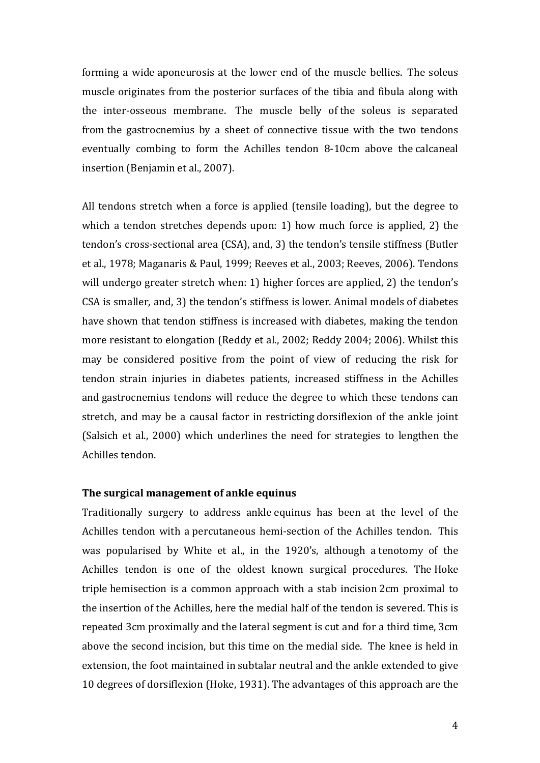forming a wide aponeurosis at the lower end of the muscle bellies. The soleus muscle originates from the posterior surfaces of the tibia and fibula along with the inter-osseous membrane. The muscle belly of the soleus is separated from the gastrocnemius by a sheet of connective tissue with the two tendons eventually combing to form the Achilles tendon 8-10cm above the calcaneal insertion (Benjamin et al., 2007).

All tendons stretch when a force is applied (tensile loading), but the degree to which a tendon stretches depends upon: 1) how much force is applied, 2) the tendon's cross-sectional area (CSA), and, 3) the tendon's tensile stiffness (Butler et al., 1978; Maganaris & Paul, 1999; Reeves et al., 2003; Reeves, 2006). Tendons will undergo greater stretch when: 1) higher forces are applied, 2) the tendon's CSA is smaller, and, 3) the tendon's stiffness is lower. Animal models of diabetes have shown that tendon stiffness is increased with diabetes, making the tendon more resistant to elongation (Reddy et al., 2002; Reddy 2004; 2006). Whilst this may be considered positive from the point of view of reducing the risk for tendon strain injuries in diabetes patients, increased stiffness in the Achilles and gastrocnemius tendons will reduce the degree to which these tendons can stretch, and may be a causal factor in restricting dorsiflexion of the ankle joint (Salsich et al., 2000) which underlines the need for strategies to lengthen the Achilles tendon.

#### The surgical management of ankle equinus

Traditionally surgery to address ankle equinus has been at the level of the Achilles tendon with a percutaneous hemi-section of the Achilles tendon. This was popularised by White et al., in the 1920's, although a tenotomy of the Achilles tendon is one of the oldest known surgical procedures. The Hoke triple hemisection is a common approach with a stab incision 2cm proximal to the insertion of the Achilles, here the medial half of the tendon is severed. This is repeated 3cm proximally and the lateral segment is cut and for a third time, 3cm above the second incision, but this time on the medial side. The knee is held in extension, the foot maintained in subtalar neutral and the ankle extended to give 10 degrees of dorsiflexion (Hoke, 1931). The advantages of this approach are the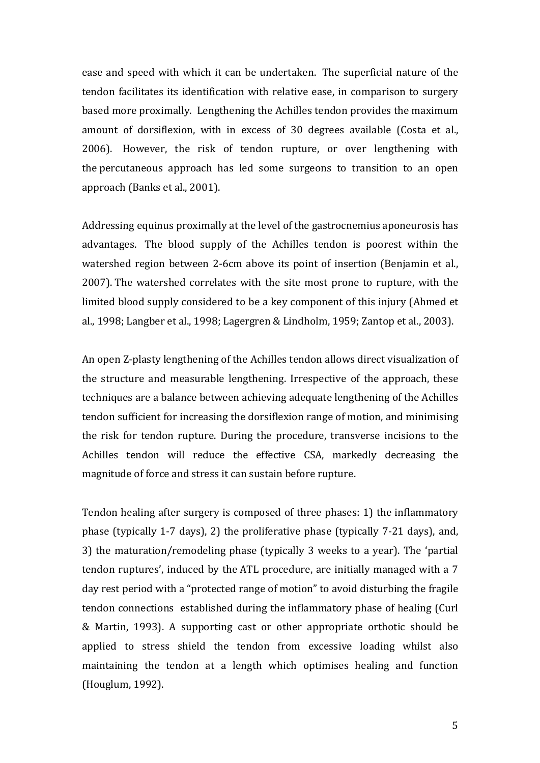ease and speed with which it can be undertaken. The superficial nature of the tendon facilitates its identification with relative ease, in comparison to surgery based more proximally. Lengthening the Achilles tendon provides the maximum amount of dorsiflexion, with in excess of 30 degrees available (Costa et al., 2006). However, the risk of tendon rupture, or over lengthening with the percutaneous approach has led some surgeons to transition to an open approach (Banks et al., 2001).

Addressing equinus proximally at the level of the gastrocnemius aponeurosis has advantages. The blood supply of the Achilles tendon is poorest within the watershed region between 2-6cm above its point of insertion (Benjamin et al., 2007). The watershed correlates with the site most prone to rupture, with the limited blood supply considered to be a key component of this injury (Ahmed et al., 1998; Langber et al., 1998; Lagergren & Lindholm, 1959; Zantop et al., 2003).

An open Z-plasty lengthening of the Achilles tendon allows direct visualization of the structure and measurable lengthening. Irrespective of the approach, these techniques are a balance between achieving adequate lengthening of the Achilles tendon sufficient for increasing the dorsiflexion range of motion, and minimising the risk for tendon rupture. During the procedure, transverse incisions to the Achilles tendon will reduce the effective CSA, markedly decreasing the magnitude of force and stress it can sustain before rupture.

Tendon healing after surgery is composed of three phases: 1) the inflammatory phase (typically 1-7 days), 2) the proliferative phase (typically  $7-21$  days), and, 3) the maturation/remodeling phase (typically 3 weeks to a year). The 'partial tendon ruptures', induced by the ATL procedure, are initially managed with a 7 day rest period with a "protected range of motion" to avoid disturbing the fragile tendon connections established during the inflammatory phase of healing (Curl & Martin, 1993). A supporting cast or other appropriate orthotic should be applied to stress shield the tendon from excessive loading whilst also maintaining the tendon at a length which optimises healing and function (Houglum, 1992).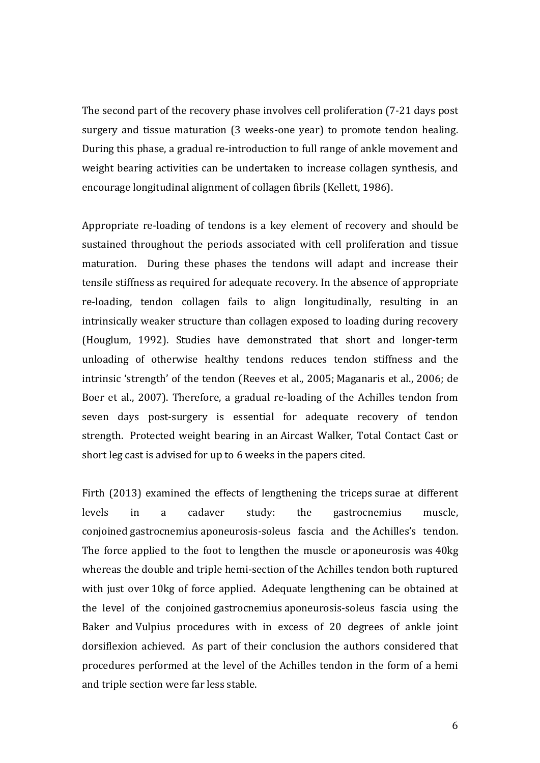The second part of the recovery phase involves cell proliferation (7-21 days post surgery and tissue maturation (3 weeks-one year) to promote tendon healing. During this phase, a gradual re-introduction to full range of ankle movement and weight bearing activities can be undertaken to increase collagen synthesis, and encourage longitudinal alignment of collagen fibrils (Kellett, 1986).

Appropriate re-loading of tendons is a key element of recovery and should be sustained throughout the periods associated with cell proliferation and tissue maturation. During these phases the tendons will adapt and increase their tensile stiffness as required for adequate recovery. In the absence of appropriate re-loading, tendon collagen fails to align longitudinally, resulting in an intrinsically weaker structure than collagen exposed to loading during recovery (Houglum, 1992). Studies have demonstrated that short and longer-term unloading of otherwise healthy tendons reduces tendon stiffness and the intrinsic 'strength' of the tendon (Reeves et al., 2005; Maganaris et al., 2006; de Boer et al., 2007). Therefore, a gradual re-loading of the Achilles tendon from seven days post-surgery is essential for adequate recovery of tendon strength. Protected weight bearing in an Aircast Walker, Total Contact Cast or short leg cast is advised for up to 6 weeks in the papers cited.

Firth  $(2013)$  examined the effects of lengthening the triceps surae at different levels in a cadaver study: the gastrocnemius muscle, conjoined gastrocnemius aponeurosis-soleus fascia and the Achilles's tendon. The force applied to the foot to lengthen the muscle or aponeurosis was 40kg whereas the double and triple hemi-section of the Achilles tendon both ruptured with just over 10kg of force applied. Adequate lengthening can be obtained at the level of the conjoined gastrocnemius aponeurosis-soleus fascia using the Baker and Vulpius procedures with in excess of 20 degrees of ankle joint dorsiflexion achieved. As part of their conclusion the authors considered that procedures performed at the level of the Achilles tendon in the form of a hemi and triple section were far less stable.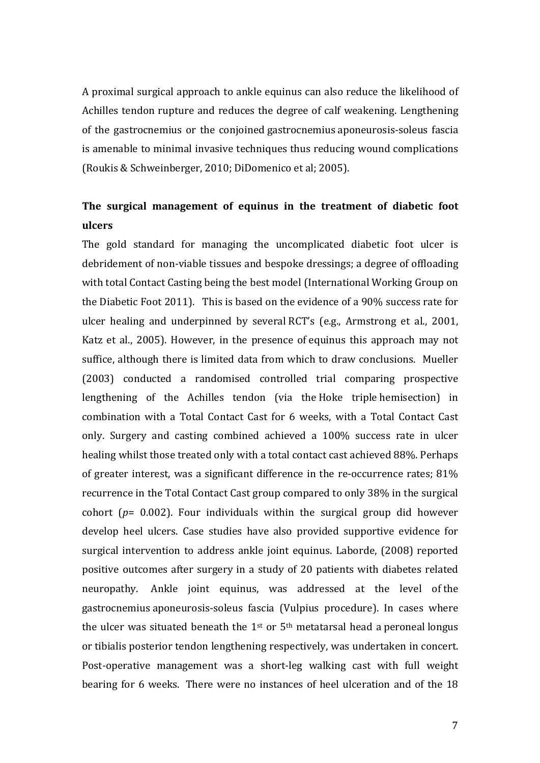A proximal surgical approach to ankle equinus can also reduce the likelihood of Achilles tendon rupture and reduces the degree of calf weakening. Lengthening of the gastrocnemius or the conjoined gastrocnemius aponeurosis-soleus fascia is amenable to minimal invasive techniques thus reducing wound complications (Roukis & Schweinberger, 2010; DiDomenico et al; 2005).

# **The surgical management of equinus in the treatment of diabetic foot ulcers**

The gold standard for managing the uncomplicated diabetic foot ulcer is debridement of non-viable tissues and bespoke dressings; a degree of offloading with total Contact Casting being the best model (International Working Group on the Diabetic Foot 2011). This is based on the evidence of a 90% success rate for ulcer healing and underpinned by several RCT's (e.g., Armstrong et al., 2001, Katz et al., 2005). However, in the presence of equinus this approach may not suffice, although there is limited data from which to draw conclusions. Mueller (2003) conducted a randomised controlled trial comparing prospective lengthening of the Achilles tendon (via the Hoke triple hemisection) in combination with a Total Contact Cast for 6 weeks, with a Total Contact Cast only. Surgery and casting combined achieved a 100% success rate in ulcer healing whilst those treated only with a total contact cast achieved 88%. Perhaps of greater interest, was a significant difference in the re-occurrence rates; 81% recurrence in the Total Contact Cast group compared to only 38% in the surgical cohort  $(p= 0.002)$ . Four individuals within the surgical group did however develop heel ulcers. Case studies have also provided supportive evidence for surgical intervention to address ankle joint equinus. Laborde, (2008) reported positive outcomes after surgery in a study of 20 patients with diabetes related neuropathy. Ankle joint equinus, was addressed at the level of the gastrocnemius aponeurosis-soleus fascia (Vulpius procedure). In cases where the ulcer was situated beneath the  $1^{st}$  or  $5^{th}$  metatarsal head a peroneal longus or tibialis posterior tendon lengthening respectively, was undertaken in concert. Post-operative management was a short-leg walking cast with full weight bearing for 6 weeks. There were no instances of heel ulceration and of the 18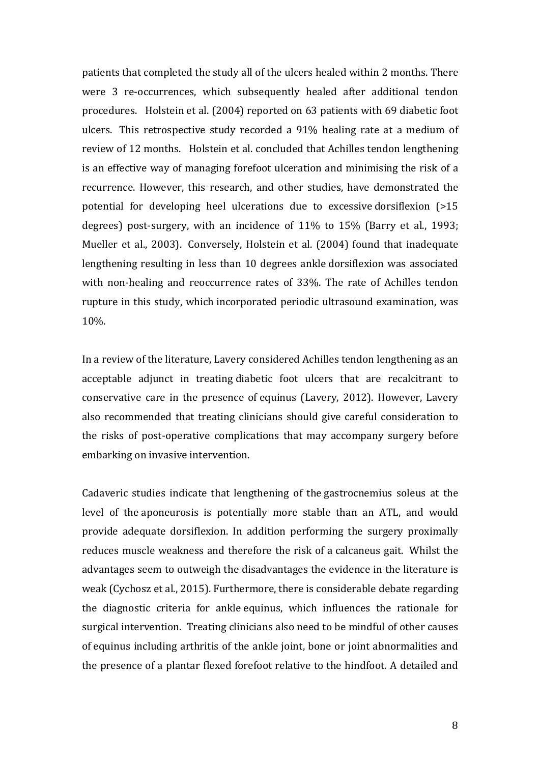patients that completed the study all of the ulcers healed within 2 months. There were 3 re-occurrences, which subsequently healed after additional tendon procedures. Holstein et al. (2004) reported on 63 patients with 69 diabetic foot ulcers. This retrospective study recorded a 91% healing rate at a medium of review of 12 months. Holstein et al. concluded that Achilles tendon lengthening is an effective way of managing forefoot ulceration and minimising the risk of a recurrence. However, this research, and other studies, have demonstrated the potential for developing heel ulcerations due to excessive dorsiflexion (>15 degrees) post-surgery, with an incidence of 11% to 15% (Barry et al., 1993; Mueller et al., 2003). Conversely, Holstein et al. (2004) found that inadequate lengthening resulting in less than 10 degrees ankle dorsiflexion was associated with non-healing and reoccurrence rates of 33%. The rate of Achilles tendon rupture in this study, which incorporated periodic ultrasound examination, was 10%.

In a review of the literature, Lavery considered Achilles tendon lengthening as an acceptable adjunct in treating diabetic foot ulcers that are recalcitrant to conservative care in the presence of equinus (Lavery, 2012). However, Lavery also recommended that treating clinicians should give careful consideration to the risks of post-operative complications that may accompany surgery before embarking on invasive intervention.

Cadaveric studies indicate that lengthening of the gastrocnemius soleus at the level of the aponeurosis is potentially more stable than an ATL, and would provide adequate dorsiflexion. In addition performing the surgery proximally reduces muscle weakness and therefore the risk of a calcaneus gait. Whilst the advantages seem to outweigh the disadvantages the evidence in the literature is weak (Cychosz et al., 2015). Furthermore, there is considerable debate regarding the diagnostic criteria for ankle equinus, which influences the rationale for surgical intervention. Treating clinicians also need to be mindful of other causes of equinus including arthritis of the ankle joint, bone or joint abnormalities and the presence of a plantar flexed forefoot relative to the hindfoot. A detailed and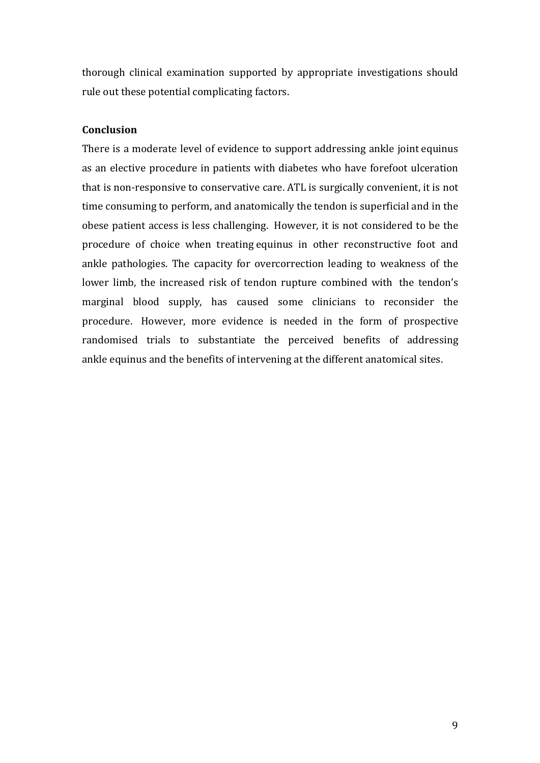thorough clinical examination supported by appropriate investigations should rule out these potential complicating factors.

## **Conclusion**

There is a moderate level of evidence to support addressing ankle joint equinus as an elective procedure in patients with diabetes who have forefoot ulceration that is non-responsive to conservative care. ATL is surgically convenient, it is not time consuming to perform, and anatomically the tendon is superficial and in the obese patient access is less challenging. However, it is not considered to be the procedure of choice when treating equinus in other reconstructive foot and ankle pathologies. The capacity for overcorrection leading to weakness of the lower limb, the increased risk of tendon rupture combined with the tendon's marginal blood supply, has caused some clinicians to reconsider the procedure. However, more evidence is needed in the form of prospective randomised trials to substantiate the perceived benefits of addressing ankle equinus and the benefits of intervening at the different anatomical sites.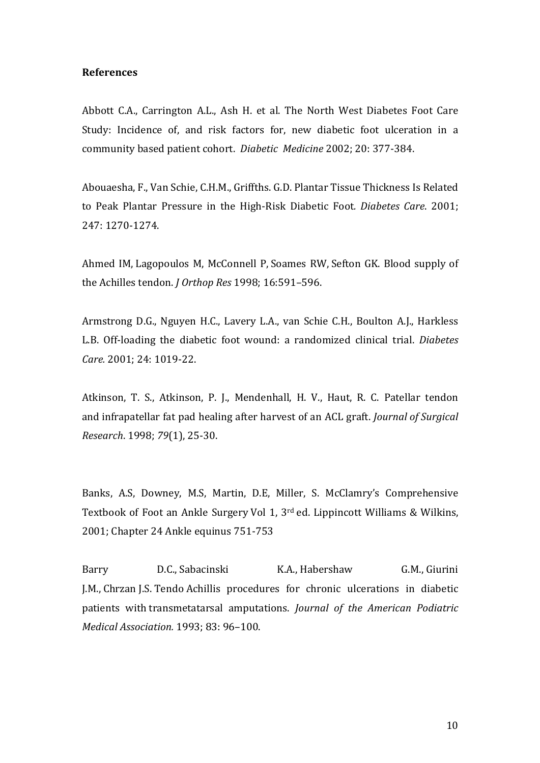### **References**

Abbott C.A., Carrington A.L., Ash H. et al. The North West Diabetes Foot Care Study: Incidence of, and risk factors for, new diabetic foot ulceration in a community based patient cohort. *Diabetic Medicine* 2002; 20: 377-384.

Abouaesha, F., Van Schie, C.H.M., Griffths. G.D. Plantar Tissue Thickness Is Related to Peak Plantar Pressure in the High-Risk Diabetic Foot. Diabetes Care. 2001; 247: 1270-1274.

Ahmed IM, Lagopoulos M, McConnell P, Soames RW, Sefton GK. Blood supply of the Achilles tendon. *J Orthop Res* 1998: 16:591-596.

Armstrong D.G., Nguyen H.C., Lavery L.A., van Schie C.H., Boulton A.J., Harkless L.B. Off-loading the diabetic foot wound: a randomized clinical trial. *Diabetes* Care. 2001; 24: 1019-22.

Atkinson, T. S., Atkinson, P. J., Mendenhall, H. V., Haut, R. C. Patellar tendon and infrapatellar fat pad healing after harvest of an ACL graft. *Journal of Surgical Research*. 1998; *79*(1), 25-30.

Banks, A.S. Downey, M.S. Martin, D.E. Miller, S. McClamry's Comprehensive Textbook of Foot an Ankle Surgery Vol 1,  $3^{rd}$  ed. Lippincott Williams & Wilkins, 2001; Chapter 24 Ankle equinus 751-753

Barry D.C., Sabacinski K.A., Habershaw G.M., Giurini J.M., Chrzan J.S. Tendo Achillis procedures for chronic ulcerations in diabetic patients with transmetatarsal amputations. *Journal of the American Podiatric Medical Association.* 1993; 83: 96–100.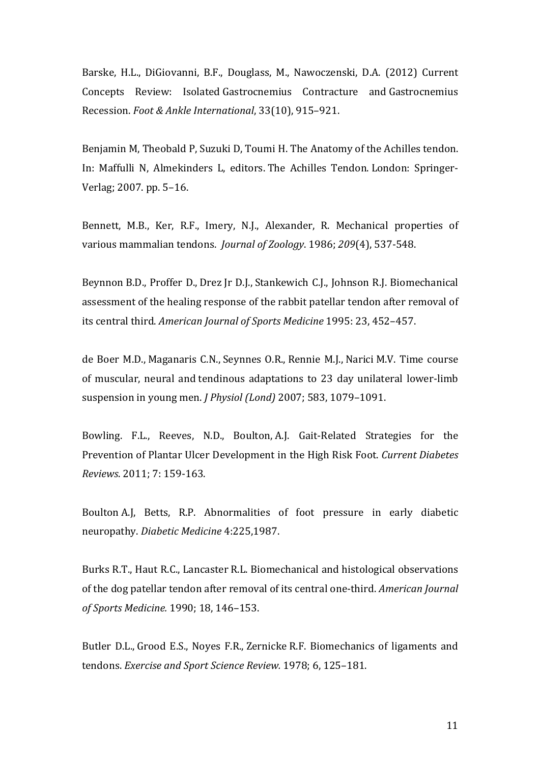Barske, H.L., DiGiovanni, B.F., Douglass, M., Nawoczenski, D.A. (2012) Current Concepts Review: Isolated Gastrocnemius Contracture and Gastrocnemius Recession. *Foot & Ankle International*, 33(10), 915-921.

Benjamin M, Theobald P, Suzuki D, Toumi H. The Anatomy of the Achilles tendon. In: Maffulli N, Almekinders L, editors. The Achilles Tendon. London: Springer-Verlag; 2007. pp. 5-16.

Bennett, M.B., Ker, R.F., Imery, N.J., Alexander, R. Mechanical properties of various mammalian tendons. *Journal of Zoology*. 1986; 209(4), 537-548.

Beynnon B.D., Proffer D., Drez Jr D.J., Stankewich C.J., Johnson R.J. Biomechanical assessment of the healing response of the rabbit patellar tendon after removal of its central third. *American Journal of Sports Medicine* 1995: 23, 452-457.

de Boer M.D., Maganaris C.N., Seynnes O.R., Rennie M.J., Narici M.V. Time course of muscular, neural and tendinous adaptations to 23 day unilateral lower-limb suspension in young men. *J Physiol (Lond)* 2007; 583, 1079-1091.

Bowling. F.L., Reeves, N.D., Boulton, A.J. Gait-Related Strategies for the Prevention of Plantar Ulcer Development in the High Risk Foot. *Current Diabetes Reviews*. 2011; 7: 159-163.

Boulton A.J. Betts, R.P. Abnormalities of foot pressure in early diabetic neuropathy. *Diabetic Medicine* 4:225,1987.

Burks R.T., Haut R.C., Lancaster R.L. Biomechanical and histological observations of the dog patellar tendon after removal of its central one-third. *American Journal of Sports Medicine.* 1990; 18, 146–153.

Butler D.L., Grood E.S., Noyes F.R., Zernicke R.F. Biomechanics of ligaments and tendons. *Exercise and Sport Science Review.* 1978; 6, 125-181.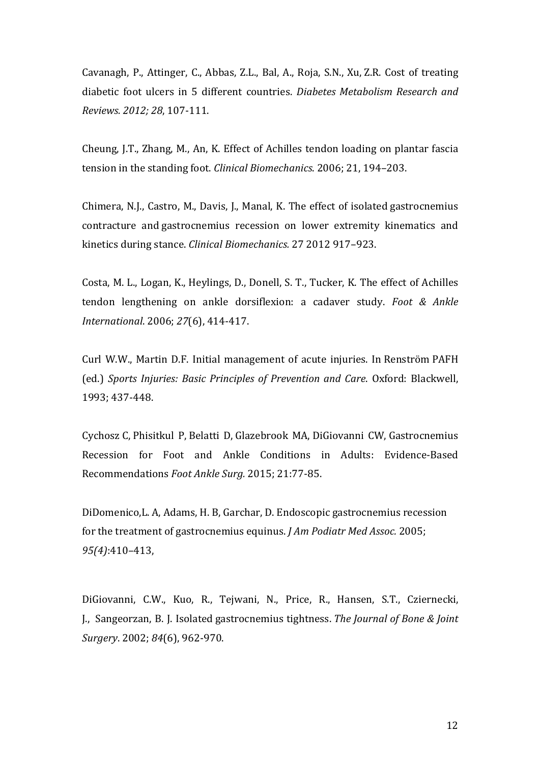Cavanagh, P., Attinger, C., Abbas, Z.L., Bal, A., Roja, S.N., Xu, Z.R. Cost of treating diabetic foot ulcers in 5 different countries. *Diabetes Metabolism Research and Reviews. 2012; 28*, 107-111.

Cheung, J.T., Zhang, M., An, K. Effect of Achilles tendon loading on plantar fascia tension in the standing foot. *Clinical Biomechanics*. 2006; 21, 194–203.

Chimera, N.J., Castro, M., Davis, J., Manal, K. The effect of isolated gastrocnemius contracture and gastrocnemius recession on lower extremity kinematics and kinetics during stance. *Clinical Biomechanics.* 27 2012 917–923.

Costa, M. L., Logan, K., Heylings, D., Donell, S. T., Tucker, K. The effect of Achilles tendon lengthening on ankle dorsiflexion: a cadaver study. Foot & Ankle *International*. 2006; *27*(6), 414-417.

Curl W.W., Martin D.F. Initial management of acute injuries. In Renström PAFH (ed.) *Sports Injuries: Basic Principles of Prevention and Care.* Oxford: Blackwell, 1993; 437-448.

Cychosz C, Phisitkul P, Belatti D, Glazebrook MA, DiGiovanni CW, Gastrocnemius Recession for Foot and Ankle Conditions in Adults: Evidence-Based Recommendations Foot Ankle Surg. 2015; 21:77-85.

DiDomenico, L. A, Adams, H. B, Garchar, D. Endoscopic gastrocnemius recession for the treatment of gastrocnemius equinus. *J Am Podiatr Med Assoc.* 2005; *95(4)*:410–413, 

DiGiovanni, C.W., Kuo, R., Tejwani, N., Price, R., Hansen, S.T., Cziernecki, J., Sangeorzan, B. J. Isolated gastrocnemius tightness. *The Journal of Bone & Joint Surgery*. 2002; *84*(6), 962-970.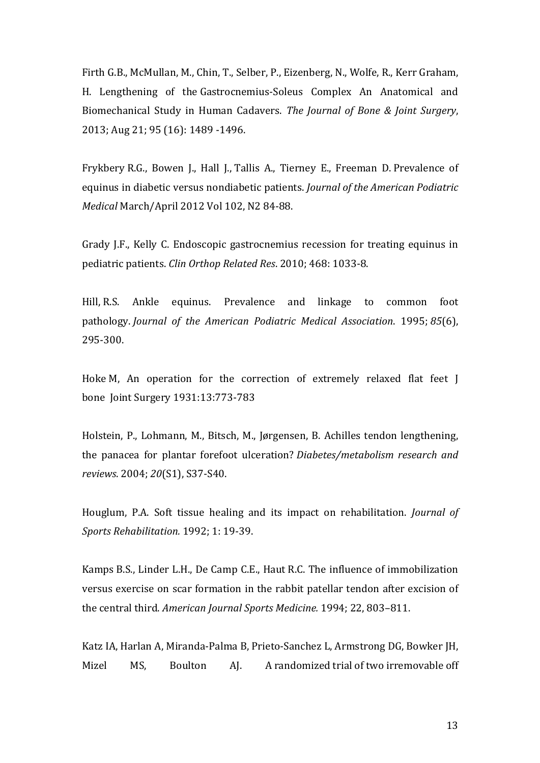Firth G.B., McMullan, M., Chin, T., Selber, P., Eizenberg, N., Wolfe, R., Kerr Graham, H. Lengthening of the Gastrocnemius-Soleus Complex An Anatomical and Biomechanical Study in Human Cadavers. The Journal of Bone & Joint Surgery, 2013; Aug 21; 95 (16): 1489 -1496.

Frykbery R.G., Bowen J., Hall J., Tallis A., Tierney E., Freeman D. Prevalence of equinus in diabetic versus nondiabetic patients. *Journal of the American Podiatric Medical* March/April 2012 Vol 102, N2 84-88.

Grady J.F., Kelly C. Endoscopic gastrocnemius recession for treating equinus in pediatric patients. *Clin Orthop Related Res*. 2010; 468: 1033-8.

Hill, R.S. Ankle equinus. Prevalence and linkage to common foot pathology. *Journal of the American Podiatric Medical Association.* 1995; 85(6), 295-300.

Hoke M, An operation for the correction of extremely relaxed flat feet I bone Joint Surgery 1931:13:773-783

Holstein, P., Lohmann, M., Bitsch, M., Jørgensen, B. Achilles tendon lengthening, the panacea for plantar forefoot ulceration? *Diabetes/metabolism research and reviews*. 2004; *20*(S1), S37-S40.

Houglum, P.A. Soft tissue healing and its impact on rehabilitation. *Journal of Sports Rehabilitation.* 1992; 1: 19-39.

Kamps B.S., Linder L.H., De Camp C.E., Haut R.C. The influence of immobilization versus exercise on scar formation in the rabbit patellar tendon after excision of the central third. *American Journal Sports Medicine.* 1994; 22, 803-811.

Katz IA, Harlan A, Miranda-Palma B, Prieto-Sanchez L, Armstrong DG, Bowker JH, Mizel MS, Boulton A. A randomized trial of two irremovable off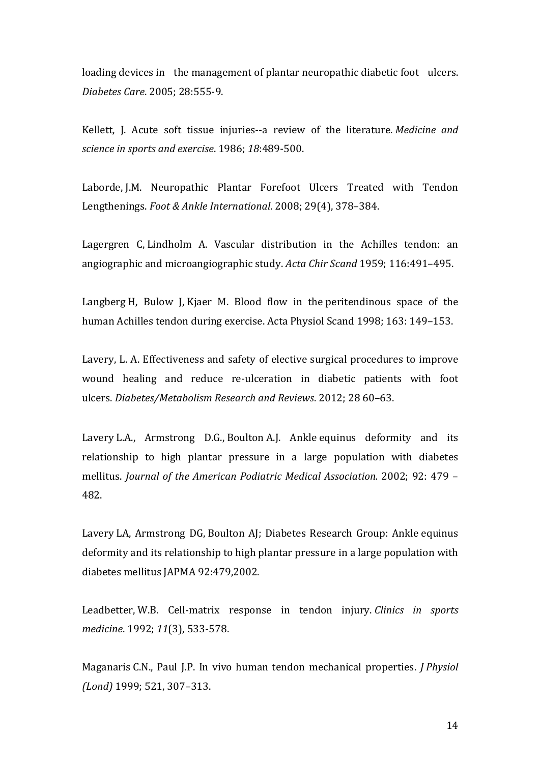loading devices in the management of plantar neuropathic diabetic foot ulcers. *Diabetes Care*. 2005; 28:555-9.

Kellett, J. Acute soft tissue injuries--a review of the literature. Medicine and *science in sports and exercise*. 1986; *18*:489-500.

Laborde, J.M. Neuropathic Plantar Forefoot Ulcers Treated with Tendon Lengthenings. *Foot & Ankle International.* 2008; 29(4), 378-384.

Lagergren C, Lindholm A. Vascular distribution in the Achilles tendon: an angiographic and microangiographic study. *Acta Chir Scand* 1959; 116:491–495.

Langberg H, Bulow J, Kjaer M. Blood flow in the peritendinous space of the human Achilles tendon during exercise. Acta Physiol Scand 1998; 163: 149–153.

Lavery, L. A. Effectiveness and safety of elective surgical procedures to improve wound healing and reduce re-ulceration in diabetic patients with foot ulcers. *Diabetes/Metabolism Research and Reviews*. 2012; 28 60–63. 

Lavery L.A., Armstrong D.G., Boulton A.J. Ankle equinus deformity and its relationship to high plantar pressure in a large population with diabetes mellitus. *Journal of the American Podiatric Medical Association.* 2002; 92: 479 -482.

Lavery LA, Armstrong DG, Boulton AJ; Diabetes Research Group: Ankle equinus deformity and its relationship to high plantar pressure in a large population with diabetes mellitus JAPMA 92:479,2002.

Leadbetter, W.B. Cell-matrix response in tendon injury. *Clinics in sports medicine*. 1992; *11*(3), 533-578.

Maganaris C.N., Paul J.P. In vivo human tendon mechanical properties. *J Physiol (Lond)* 1999; 521, 307–313.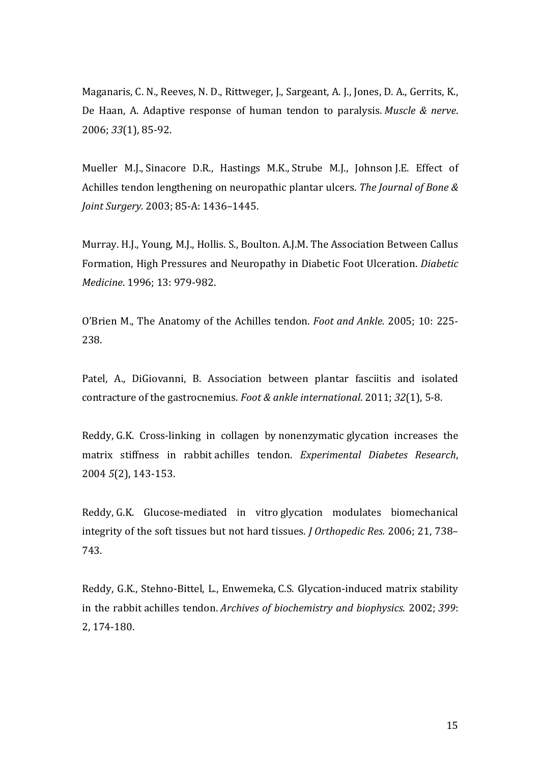Maganaris, C. N., Reeves, N. D., Rittweger, J., Sargeant, A. J., Jones, D. A., Gerrits, K., De Haan, A. Adaptive response of human tendon to paralysis. *Muscle & nerve*. 2006; *33*(1), 85-92.

Mueller M.J., Sinacore D.R., Hastings M.K., Strube M.J., Johnson J.E. Effect of Achilles tendon lengthening on neuropathic plantar ulcers. The *Journal of Bone & Joint Surgery.* 2003; 85-A: 1436-1445.

Murray. H.J., Young, M.J., Hollis. S., Boulton. A.J.M. The Association Between Callus Formation, High Pressures and Neuropathy in Diabetic Foot Ulceration. *Diabetic Medicine*. 1996; 13: 979-982.

O'Brien M., The Anatomy of the Achilles tendon. *Foot and Ankle.* 2005; 10: 225-238.

Patel, A., DiGiovanni, B. Association between plantar fasciitis and isolated contracture of the gastrocnemius. *Foot & ankle international*. 2011; *32*(1), 5-8.

Reddy, G.K. Cross-linking in collagen by nonenzymatic glycation increases the matrix stiffness in rabbit achilles tendon. *Experimental Diabetes Research*, 2004 *5*(2), 143-153.

Reddy, G.K. Glucose-mediated in vitro glycation modulates biomechanical integrity of the soft tissues but not hard tissues. *J Orthopedic Res.* 2006; 21, 738– 743.

Reddy, G.K., Stehno-Bittel, L., Enwemeka, C.S. Glycation-induced matrix stability in the rabbit achilles tendon. *Archives of biochemistry and biophysics*. 2002; 399: 2, 174-180.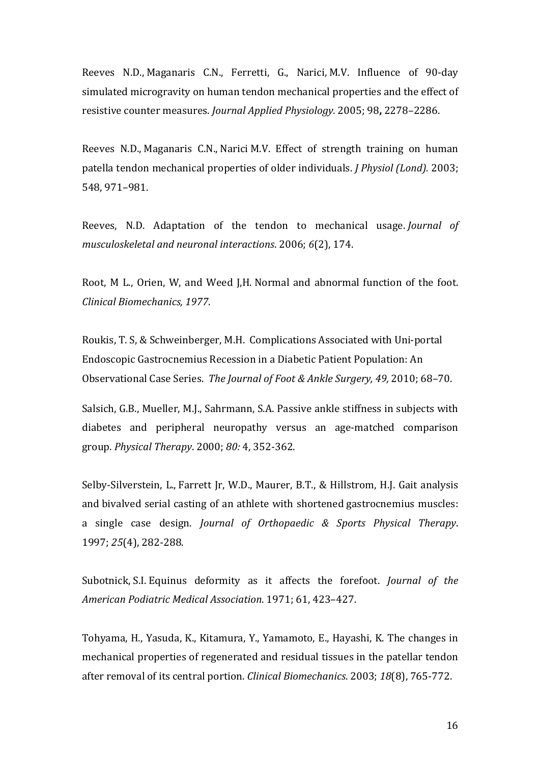Reeves N.D., Maganaris C.N., Ferretti, G., Narici, M.V. Influence of 90-day simulated microgravity on human tendon mechanical properties and the effect of resistive counter measures. *Journal Applied Physiology.* 2005; 98, 2278–2286.

Reeves N.D., Maganaris C.N., Narici M.V. Effect of strength training on human patella tendon mechanical properties of older individuals. *J Physiol (Lond).* 2003; 548, 971–981.

Reeves, N.D. Adaptation of the tendon to mechanical usage. *Journal of musculoskeletal and neuronal interactions*. 2006; *6*(2), 174.

Root, M L., Orien, W, and Weed I.H. Normal and abnormal function of the foot. *Clinical Biomechanics, 1977*.

Roukis, T. S, & Schweinberger, M.H. Complications Associated with Uni-portal Endoscopic Gastrocnemius Recession in a Diabetic Patient Population: An Observational Case Series. The Journal of Foot & Ankle Surgery, 49, 2010; 68–70.

Salsich, G.B., Mueller, M.J., Sahrmann, S.A. Passive ankle stiffness in subjects with diabetes and peripheral neuropathy versus an age-matched comparison group. *Physical Therapy*. 2000; *80:* 4, 352-362.

Selby-Silverstein, L., Farrett Jr, W.D., Maurer, B.T., & Hillstrom, H.J. Gait analysis and bivalved serial casting of an athlete with shortened gastrocnemius muscles: a single case design. *Journal of Orthopaedic & Sports Physical Therapy*. 1997; 25(4), 282-288.

Subotnick, S.I. Equinus deformity as it affects the forefoot. *Journal of the American Podiatric Medical Association*. 1971; 61, 423–427.

Tohyama, H., Yasuda, K., Kitamura, Y., Yamamoto, E., Hayashi, K. The changes in mechanical properties of regenerated and residual tissues in the patellar tendon after removal of its central portion. *Clinical Biomechanics*. 2003; 18(8), 765-772.